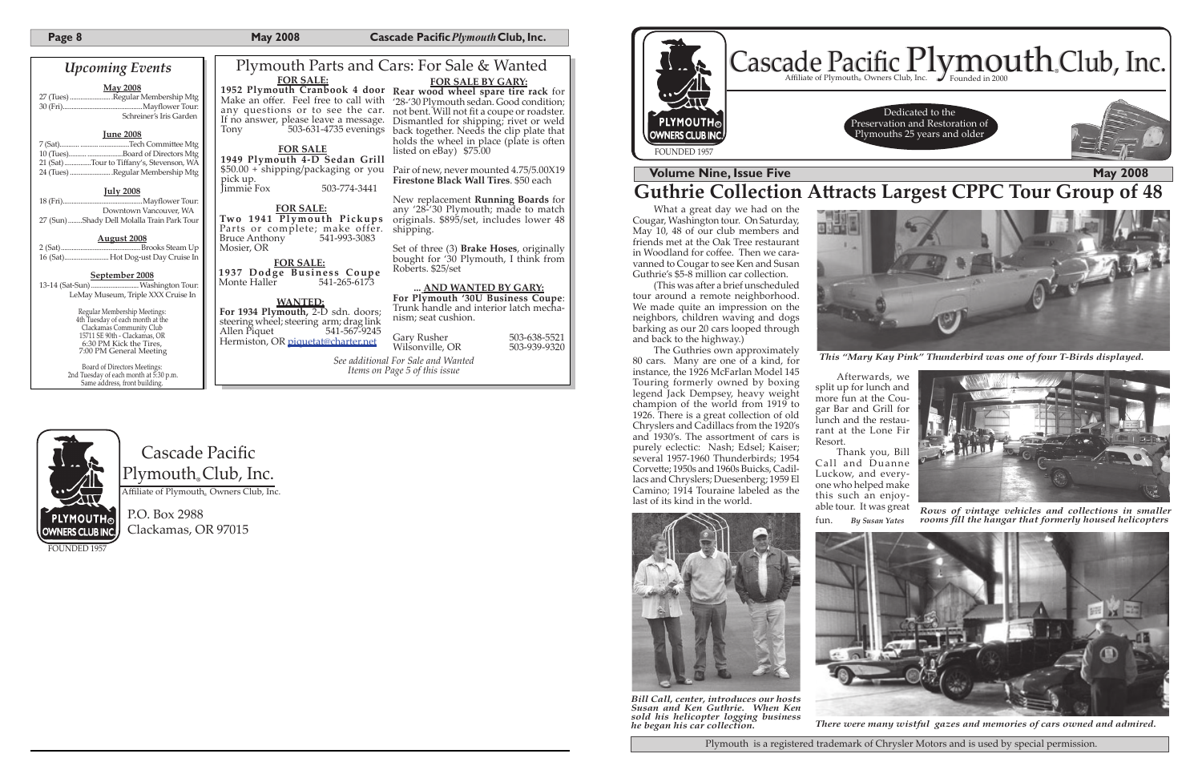Cascade Pacific Plymouth<sub>®</sub>Club, Inc. Affiliate of Plymouth<sub>®</sub> Owners Club, Inc.

# **PLYMOUTH® OWNERS CLUB INC.** FOUNDED 1957

P.O. Box 2988 Clackamas, OR 97015

FOUNDED 195



# **Volume Nine, Issue Five May 2008**

**Guthrie Collection A�racts Largest CPPC Tour Group of 48**

Plymouth is a registered trademark of Chrysler Motors and is used by special permission.

(This was after a brief unscheduled tour around a remote neighborhood. We made quite an impression on the neighbors, children waving and dogs barking as our 20 cars looped through and back to the highway.)



*There were many wistful gazes and memories of cars owned and admired.*

*This "Mary Kay Pink" Thunderbird was one of four T-Birds displayed. See additional For Sale and Wanted* 



*Items on Page 5 of this issue* 

What a great day we had on the Cougar, Washington tour. On Saturday, May 10, 48 of our club members and friends met at the Oak Tree restaurant in Woodland for coffee. Then we caravanned to Cougar to see Ken and Susan Guthrie's \$5-8 million car collection.

Make an offer. Feel free to call with '28-'30 Plymouth sedan. Good condition; any questions or to see the car. not bent. Will not fit a coupe or roadster. If no answer, please leave a message.

pick up. 503-774-3441

Two 1941 Plymouth Pickups originals. \$895/set, includes lower 48 Parts or complete; make offer. shipping. Bruce Anthony 541-993-3083 Mosier, OR

## Plymouth Parts and Cars: For Sale & Wanted **1952 Plymouth Cranbook 4 door Rear wood wheel spare tire rack** for **FOR SALE BY GARY:**

Dismantled for shipping; rivet or weld back together. Needs the clip plate that holds the wheel in place (plate is often

> The Guthries own approximately 80 cars. Many are one of a kind, for instance, the 1926 McFarlan Model 145 Touring formerly owned by boxing legend Jack Dempsey, heavy weight champion of the world from 1919 to 1926. There is a great collection of old Chryslers and Cadillacs from the 1920's and 1930's. The assortment of cars is purely eclectic: Nash; Edsel; Kaiser; several 1957-1960 Thunderbirds; 1954 Corve�e; 1950s and 1960s Buicks, Cadillacs and Chryslers; Duesenberg; 1959 El Camino; 1914 Touraine labeled as the last of its kind in the world.



**FOR SALE: 1937 Dodge Business Coupe** Monte Haller

> Afterwards, we split up for lunch and more fun at the Cougar Bar and Grill for lunch and the restaurant at the Lone Fir Resort.

> Thank you, Bill Call and Duanne Luckow, and everyone who helped make this such an enjoyable tour. It was great

fun. *By Susan Yates*



**PLYMOUTH®** OWNERS CLUB INC.



*Rows of vintage vehicles and collections in smaller rooms fill the hangar that formerly housed helicopters*

*Bill Call, center, introduces our hosts Susan and Ken Guthrie. When Ken sold his helicopter logging business he began his car collection.*



**FOR SALE:**

## Tony 503-631-4735 evenings **FOR SALE 1949 Plymouth 4-D Sedan Grill** \$50.00 + shipping/packaging or you

### **FOR SALE:**

listed on eBay) \$75.00

Gary Rusher 503-638-5521<br>Wilsonville. OR 503-939-9320 Wilsonville, OR

Pair of new, never mounted 4.75/5.00X19 **Firestone Black Wall Tires**. \$50 each

New replacement **Running Boards** for any '28-'30 Plymouth; made to match

Set of three (3) **Brake Hoses**, originally bought for '30 Plymouth, I think from Roberts. \$25/set

**... AND WANTED BY GARY:**

## **For Plymouth '30U Business Coupe**:

Trunk handle and interior latch mechanism; seat cushion.

### **WANTED:**

For 1934 Plymouth, 2-D sdn. doors; steering wheel; steering arm; drag link<br>Allen Piquet 541-567-9245 541-567-9245 Hermiston, OR piquetat@charter.net

## *Upcoming Events*

**May 2008**

27 (Tues) ........................Regular Membership Mtg .<br>Mayflower Tour: Schreiner's Iris Garden

### **June 2008**

| 10 (Tues)Board of Directors Mtg           |
|-------------------------------------------|
| 21 (Sat) Tour to Tiffany's, Stevenson, WA |
| 24 (Tues) Regular Membership Mtg          |

### **July 2008**

| Downtown Vancouver, WA                     |
|--------------------------------------------|
| 27 (Sun)Shady Dell Molalla Train Park Tour |

### **August 2008**

2 (Sat) .............................................Brooks Steam Up 16 (Sat) ......................... Hot Dog-ust Day Cruise In

**September 2008** .... Washington Tour: LeMay Museum, Triple XXX Cruise In

> Regular Membership Meetings: 4th Tuesday of each month at the Clackamas Community Club 15711 SE 90th - Clackamas, OR 6:30 PM Kick the Tires, 7:00 PM General Meeting

Board of Directors Meetings: 2nd Tuesday of each month at 5:30 p.m. Same address, front building.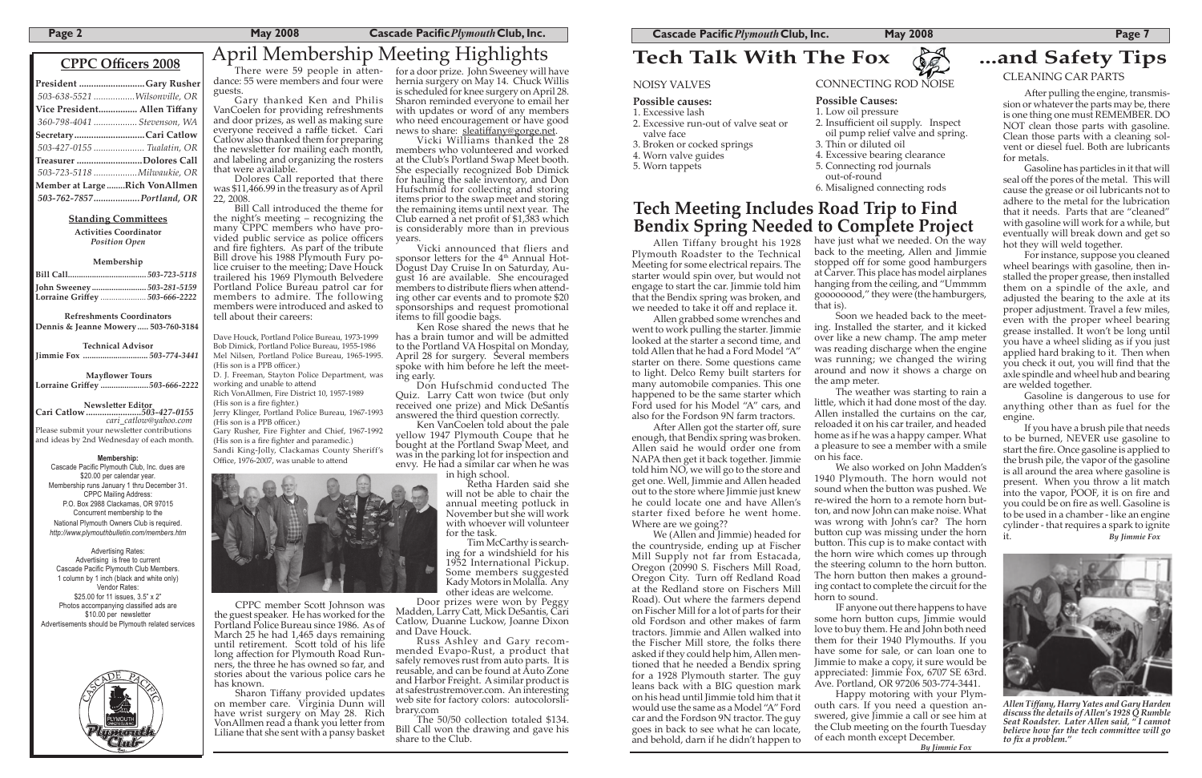## **CPPC Officers 2008**

| President Gary Rusher         |  |
|-------------------------------|--|
| 503-638-5521 Wilsonville, OR  |  |
| Vice President Allen Tiffany  |  |
| 360-798-4041  Stevenson, WA   |  |
| SecretaryCari Catlow          |  |
| 503-427-0155  Tualatin, OR    |  |
| Treasurer Dolores Call        |  |
| 503-723-5118  Milwaukie, OR   |  |
| Member at LargeRich VonAllmen |  |
| 503-762-7857Portland, OR      |  |

### **Standing Committees**

Newsletter Editor<br>Cari Catlow ...........................503-427-0155<br>*cari\_catlow@yahoo.com* Please submit your newsletter contributions and ideas by 2nd Wednesday of each month.

**Activities Coordinator** *Position Open*

### **Membership**

| John Sweeney503-281-5159       |  |
|--------------------------------|--|
| Lorraine Griffey  503-666-2222 |  |

Cascade Pacific Plymouth Club, Inc. dues are \$20.00 per calendar year. Membership runs January 1 thru December 31. CPPC Mailing Address: P.O. Box 2988 Clackamas, OR 97015 Concurrent membership to the National Plymouth Owners Club is required. *http://www.plymouthbulletin.com/members.htm*

**Refreshments Coordinators Dennis & Jeanne Mowery ..... 503-760-3184**

**Technical Advisor Jimmie Fox ..............................** *503-774-3441*

**Mayflower Tours**<br>**iffey** .......................503-666-2222 **Lorraine Griffey...** 



*Allen Tiff any, Harry Yates and Gary Harden discuss the details of Allen's 1928 Q Rumble Seat Roadster. Later Allen said, " I cannot believe how far the tech committee will go* to fix a problem."

### **Membership:**

Dave Houck, Portland Police Bureau, 1973-1999 Bob Dimick, Portland Police Bureau, 1955-1986 Mel Nilsen, Portland Police Bureau, 1965-1995. (His son is a PPB officer.)

D. J. Freeman, Stayton Police Department, was working and unable to attend

Rich VonAllmen, Fire District 10, 1957-1989  $(His son is a fire fighter.)$ 

Jerry Klinger, Portland Police Bureau, 1967-1993 (His son is a PPB officer.)

Advertising Rates: Advertising is free to current Cascade Pacific Plymouth Club Members. 1 column by 1 inch (black and white only) Vendor Rates: \$25.00 for 11 issues, 3.5" x 2" Photos accompanying classified ads are \$10.00 per newsletter Advertisements should be Plymouth related services



Sharon Tiffany provided updates on member care. Virginia Dunn will have wrist surgery on May 28. Rich VonAllmen read a thank you letter from Liliane that she sent with a pansy basket

for a door prize. John Sweeney will have hernia surgery on May 14. Chuck Willis is scheduled for knee surgery on April 28. Sharon reminded everyone to email her with updates or word of any members who need encouragement or have good news to share: sleatiffany@gorge.net.

There were 59 people in attendance: 55 were members and four were guests.

Gary thanked Ken and Philis VanCoelen for providing refreshments and door prizes, as well as making sure everyone received a raffle ticket. Cari Catlow also thanked them for preparing the newsletter for mailing each month, and labeling and organizing the rosters that were available.

> Vicki announced that fliers and sponsor letters for the 4<sup>th</sup> Annual Hot-Dogust Day Cruise In on Saturday, August 16 are available. She encouraged members to distribute fliers when attending other car events and to promote \$20 sponsorships and request promotional ifems to fill goodie bags.

Dolores Call reported that there was \$11,466.99 in the treasury as of April 22, 2008.

Bill Call introduced the theme for the night's meeting – recognizing the many CPPC members who have provided public service as police officers and fire fighters. As part of the tribute Bill drove his 1988 Plymouth Fury police cruiser to the meeting; Dave Houck trailered his 1969 Plymouth Belvedere Portland Police Bureau patrol car for members to admire. The following members were introduced and asked to tell about their careers:

> Ken VanCoelen told about the pale yellow 1947 Plymouth Coupe that he bought at the Portland Swap Meet, and was in the parking lot for inspection and envy. He had a similar car when he was

> > Retha Harden said she will not be able to chair the annual meeting potluck in November but she will work with whoever will volunteer for the task.<br>Tim McCarthy is search-

ing for a windshield for his 1952 International Pickup. Some members suggested Kady Motors in Molalla. Any other ideas are welcome.

Gary Rusher, Fire Fighter and Chief, 1967-1992 (His son is a fire fighter and paramedic.) Sandi King-Jolly, Clackamas County Sheriff's

Office, 1976-2007, was unable to attend



After pulling the engine, transmission or whatever the parts may be, there is one thing one must REMEMBER. DO NOT clean those parts with gasoline. Clean those parts with a cleaning solvent or diesel fuel. Both are lubricants for metals.

CPPC member Sco� Johnson was the guest speaker. He has worked for the Portland Police Bureau since 1986. As of March 25 he had 1,465 days remaining until retirement. Scott told of his life long affection for Plymouth Road Runners, the three he has owned so far, and stories about the various police cars he has known.

Vicki Williams thanked the 28 members who volunteered and worked at the Club's Portland Swap Meet booth. She especially recognized Bob Dimick for hauling the sale inventory, and Don Hufschmid for collecting and storing items prior to the swap meet and storing the remaining items until next year. The Club earned a net profit of  $$1,383$  which is considerably more than in previous years.

> After Allen got the starter off, sure enough, that Bendix spring was broken. Allen said he would order one from NAPA then get it back together. Jimmie told him NO, we will go to the store and get one. Well, Jimmie and Allen headed out to the store where Jimmie just knew he could locate one and have Allen's starter fixed before he went home. Where are we going??

Ken Rose shared the news that he has a brain tumor and will be admitted to the Portland VA Hospital on Monday, April 28 for surgery. Several members spoke with him before he left the meeting early.

have just what we needed. On the way that is).

Don Hufschmid conducted The Quiz. Larry Catt won twice (but only received one prize) and Mick DeSantis answered the third question correctly.

in high school.

Door prizes were won by Peggy Madden, Larry Catt, Mick DeSantis, Cari Catlow, Duanne Luckow, Joanne Dixon and Dave Houck.

Russ Ashley and Gary recommended Evapo-Rust, a product that safely removes rust from auto parts. It is reusable, and can be found at Auto Zone and Harbor Freight. A similar product is at safestrustremover.com. An interesting web site for factory colors: autocolorslibrary.com

The 50/50 collection totaled \$134. Bill Call won the drawing and gave his share to the Club.

# April Membership Meeting Highlights **Tech Talk With The Fox 82 ...and Safety Tips**

### NOISY VALVES

### **Possible causes:**

- 1. Excessive lash
- 2. Excessive run-out of valve seat or valve face

## 3. Broken or cocked springs

- 4. Worn valve guides
- 
- 5. Worn tappets



### **Possible Causes:** 1. Low oil pressure 2. Insufficient oil supply. Inspect oil pump relief valve and spring. 3. Thin or diluted oil 4. Excessive bearing clearance 5. Connecting rod journals

- out-of-round
	- 6. Misaligned connecting rods

## CLEANING CAR PARTS

Gasoline has particles in it that will seal off the pores of the metal. This will cause the grease or oil lubricants not to adhere to the metal for the lubrication that it needs. Parts that are "cleaned" with gasoline will work for a while, but eventually will break down and get so hot they will weld together.

For instance, suppose you cleaned wheel bearings with gasoline, then installed the proper grease, then installed them on a spindle of the axle, and adjusted the bearing to the axle at its proper adjustment. Travel a few miles, even with the proper wheel bearing grease installed. It won't be long until you have a wheel sliding as if you just applied hard braking to it. Then when you check it out, you will find that the axle spindle and wheel hub and bearing are welded together.

Gasoline is dangerous to use for anything other than as fuel for the engine.

If you have a brush pile that needs to be burned, NEVER use gasoline to start the fire. Once gasoline is applied to the brush pile, the vapor of the gasoline is all around the area where gasoline is present. When you throw a lit match into the vapor, POOF, it is on fire and you could be on fire as well. Gasoline is to be used in a chamber - like an engine cylinder - that requires a spark to ignite it. *By Jimmie Fox*

Allen Tiffany brought his 1928 Plymouth Roadster to the Technical Meeting for some electrical repairs. The starter would spin over, but would not engage to start the car. Jimmie told him that the Bendix spring was broken, and we needed to take it off and replace it.

Allen grabbed some wrenches and went to work pulling the starter. Jimmie looked at the starter a second time, and told Allen that he had a Ford Model "A" starter on there. Some questions came to light. Delco Remy built starters for many automobile companies. This one happened to be the same starter which Ford used for his Model "A" cars, and also for the Fordson 9N farm tractors.

We (Allen and Jimmie) headed for the countryside, ending up at Fischer Mill Supply not far from Estacada, Oregon (20990 S. Fischers Mill Road, Oregon City. Turn off Redland Road at the Redland store on Fischers Mill Road). Out where the farmers depend on Fischer Mill for a lot of parts for their old Fordson and other makes of farm tractors. Jimmie and Allen walked into the Fischer Mill store, the folks there asked if they could help him, Allen mentioned that he needed a Bendix spring for a 1928 Plymouth starter. The guy leans back with a BIG question mark on his head until Jimmie told him that it would use the same as a Model "A" Ford car and the Fordson 9N tractor. The guy goes in back to see what he can locate, and behold, darn if he didn't happen to

back to the meeting, Allen and Jimmie stopped off for some good hamburgers at Carver. This place has model airplanes hanging from the ceiling, and "Ummmm goooooood," they were (the hamburgers,

Soon we headed back to the meeting. Installed the starter, and it kicked over like a new champ. The amp meter was reading discharge when the engine was running; we changed the wiring around and now it shows a charge on the amp meter.

The weather was starting to rain a little, which it had done most of the day. Allen installed the curtains on the car, reloaded it on his car trailer, and headed home as if he was a happy camper. What a pleasure to see a member with a smile on his face.

We also worked on John Madden's 1940 Plymouth. The horn would not sound when the button was pushed. We re-wired the horn to a remote horn button, and now John can make noise. What was wrong with John's car? The horn button  $cup$  was missing under the horn button. This cup is to make contact with the horn wire which comes up through the steering column to the horn button. The horn button then makes a grounding contact to complete the circuit for the horn to sound.

IF anyone out there happens to have some horn button cups, Jimmie would love to buy them. He and John both need them for their 1940 Plymouths. If you have some for sale, or can loan one to Jimmie to make a copy, it sure would be appreciated: Jimmie Fox, 6707 SE 63rd. Ave. Portland, OR 97206 503-774-3441. Happy motoring with your Plymouth cars. If you need a question answered, give Jimmie a call or see him at the Club meeting on the fourth Tuesday of each month except December.  *By Jimmie Fox*

# **Tech Meeting Includes Road Trip to Find Bendix Spring Needed to Complete Project**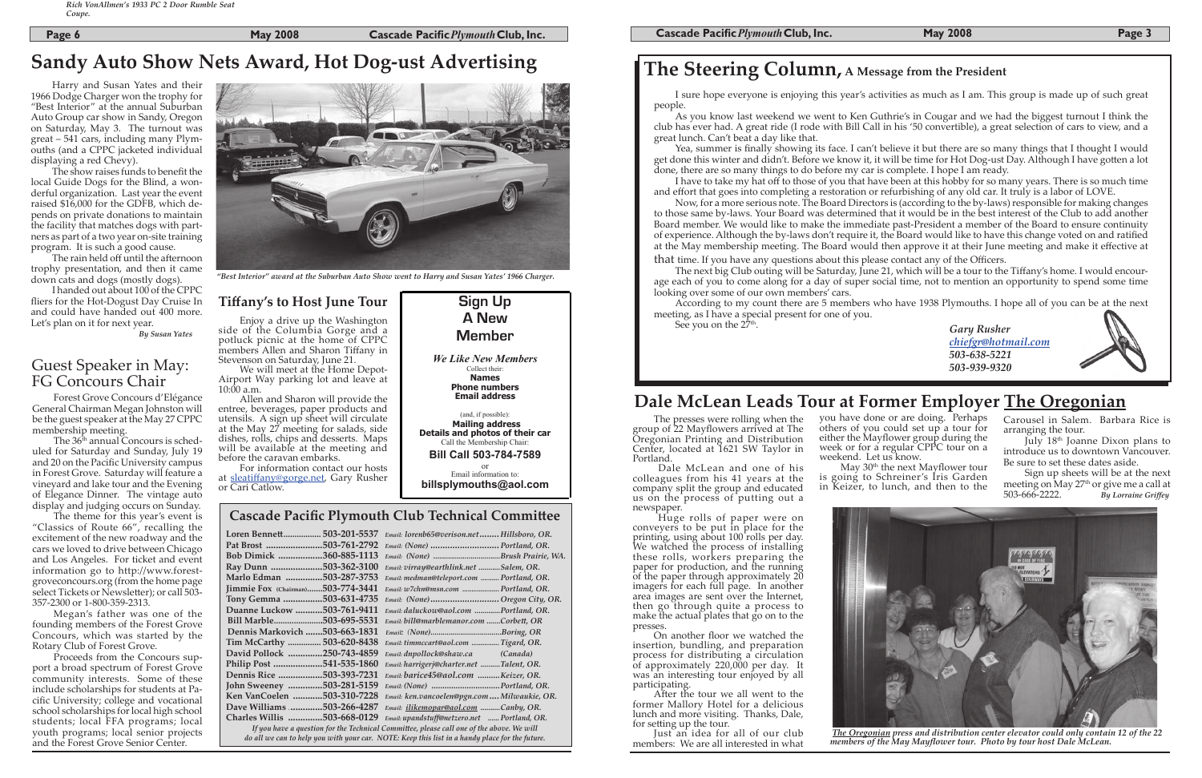## **Cascade Pacific Plymouth Club Technical Commi�ee**

| Loren Bennett               | 503-201-5537  | Email: lorenb65@verison.netHillsboro, OR.                                                 |
|-----------------------------|---------------|-------------------------------------------------------------------------------------------|
| Pat Brost                   | .503-761-2792 | Email: (None)  Portland, OR.                                                              |
| Bob Dimick                  | 360-885-1113  |                                                                                           |
| Ray Dunn                    | 503-362-3100  | Email: virray@earthlink.net Salem, OR.                                                    |
| Marlo Edman                 | .503-287-3753 | Email: medman@teleport.com  Portland, OR.                                                 |
| Jimmie Fox (Chairman)       | .503-774-3441 | Email: w7chn@msn.com  Portland, OR.                                                       |
| Tony Gemma                  | .503-631-4735 | Email: (None) Oregon City, OR.                                                            |
| Duanne Luckow               | 503-761-9411  | Email: daluckow@aol.com Portland, OR.                                                     |
| Bill Marble                 | .503-695-5531 | Email: bill@marblemanor.com Corbett, OR                                                   |
| Dennis Markovich.           | .503-663-1831 |                                                                                           |
| Tim McCarthy                | 503-620-8438  | Email: timmccart@aol.com  Tigard, OR.                                                     |
| David Pollock               | .250-743-4859 | Email: dnpollock@shaw.ca (Canada)                                                         |
| Philip Post                 | 541-535-1860  | Email: harrigerj@charter.net Talent, OR.                                                  |
| <b>Dennis Rice </b>         | .503-393-7231 | Email: barice45@aol.com Keizer, OR.                                                       |
| John Sweeney 503-281-5159   |               | Email: (None) Portland, OR.                                                               |
| Ken VanCoelen 503-310-7228  |               | Email: ken.vancoelen@pgn.com  Milwaukie, OR.                                              |
| Dave Williams 503-266-4287  |               | Email: <i>ilikemopar@aol.com Canby</i> , OR.                                              |
| Charles Willis 503-668-0129 |               | Email: upandstuff@netzero.net  Portland, OR.                                              |
|                             |               | If you have a question for the Technical Committee, please call one of the above. We will |

*do all we can to help you with your car. NOTE: Keep this list in a handy place for the future.*

### **Cascade Pacific** *Plymouth* Club, Inc. **May 2008 Page 3**

# **The Steering Column, A Message from the President**

The next big Club outing will be Saturday, June 21, which will be a tour to the Tiffany's home. I would encourage each of you to come along for a day of super social time, not to mention an opportunity to spend some time looking over some of our own members' cars.

According to my count there are 5 members who have 1938 Plymouths. I hope all of you can be at the next meeting, as I have a special present for one of you. See you on the  $27<sup>th</sup>$ .

**Page 6 Cascade Pacific** *Plymouth* Club, Inc.

## Guest Speaker in May: FG Concours Chair

*Gary Rusher chiefgr@hotmail.com 503-638-5221 503-939-9320*

# **Dale McLean Leads Tour at Former Employer The Oregonian**

I sure hope everyone is enjoying this year's activities as much as I am. This group is made up of such great people.

As you know last weekend we went to Ken Guthrie's in Cougar and we had the biggest turnout I think the club has ever had. A great ride (I rode with Bill Call in his '50 convertible), a great selection of cars to view, and a great lunch. Can't beat a day like that.

The rain held off until the afternoon trophy presentation, and then it came down cats and dogs (mostly dogs).

> Dale McLean and one of his colleagues from his 41 years at the company split the group and educated us on the process of putting out a<br>newspaper.

Yea, summer is finally showing its face. I can't believe it but there are so many things that I thought I would get done this winter and didn't. Before we know it, it will be time for Hot Dog-ust Day. Although I have gotten a lot done, there are so many things to do before my car is complete. I hope I am ready.

Huge rolls of paper were on conveyers to be put in place for the printing, using about 100 rolls per day. We watched the process of installing these rolls, workers preparing the paper for production, and the running of the paper through approximately 20 imagers for each full page. In another area images are sent over the Internet, then go through quite a process to make the actual plates that go on to the presses.

I have to take my hat off to those of you that have been at this hobby for so many years. There is so much time and effort that goes into completing a restoration or refurbishing of any old car. It truly is a labor of LOVE.

> you have done or are doing. Perhaps others of you could set up a tour for either the Mayflower group during the week or for a regular CPPC tour on a weekend. Let us know.<br>May  $30<sup>th</sup>$  the next Mayflower tour

> is going to Schreiner's Iris Garden in Keizer, to lunch, and then to the

Now, for a more serious note. The Board Directors is (according to the by-laws) responsible for making changes to those same by-laws. Your Board was determined that it would be in the best interest of the Club to add another Board member. We would like to make the immediate past-President a member of the Board to ensure continuity of experience. Although the by-laws don't require it, the Board would like to have this change voted on and ratified at the May membership meeting. The Board would then approve it at their June meeting and make it effective at

The 36<sup>th</sup> annual Concours is scheduled for Saturday and Sunday, July 19 and 20 on the Pacific University campus in Forest Grove. Saturday will feature a vineyard and lake tour and the Evening of Elegance Dinner. The vintage auto display and judging occurs on Sunday.

that time. If you have any questions about this please contact any of the Officers.

 *The Oregonian press and distribution center elevator could only contain 12 of the 22 members of the May Mayflower tour. Photo by tour host Dale McLean.*



Harry and Susan Yates and their 1966 Dodge Charger won the trophy for "Best Interior" at the annual Suburban Auto Group car show in Sandy, Oregon on Saturday, May 3. The turnout was great – 541 cars, including many Plymouths (and a CPPC jacketed individual displaying a red Chevy).

The show raises funds to benefit the local Guide Dogs for the Blind, a wonderful organization. Last year the event raised \$16,000 for the GDFB, which depends on private donations to maintain the facility that matches dogs with partners as part of a two year on-site training program. It is such a good cause.

I handed out about 100 of the CPPC fliers for the Hot-Dogust Day Cruise In and could have handed out 400 more. Let's plan on it for next year.

*By Susan Yates*



*"Best Interior" award at the Suburban Auto Show went to Harry and Susan Yates' 1966 Charger.*

# **Sandy Auto Show Nets Award, Hot Dog-ust Advertising**

The presses were rolling when the group of 22 Mayflowers arrived at The Oregonian Printing and Distribution Center, located at 1621 SW Taylor in Portland.

On another floor we watched the insertion, bundling, and preparation process for distributing a circulation of approximately 220,000 per day. It was an interesting tour enjoyed by all participating.

After the tour we all went to the former Mallory Hotel for a delicious lunch and more visiting. Thanks, Dale, for setting up the tour.

Just an idea for all of our club members: We are all interested in what



Carousel in Salem. Barbara Rice is arranging the tour.

July 18th Joanne Dixon plans to introduce us to downtown Vancouver. Be sure to set these dates aside.

Sign up sheets will be at the next meeting on May  $27<sup>th</sup>$  or give me a call at 503-666-2222. *By Lorraine Griffey*

Forest Grove Concours d'Elégance General Chairman Megan Johnston will be the guest speaker at the May 27 CPPC membership meeting.

The theme for this year's event is "Classics of Route 66", recalling the excitement of the new roadway and the cars we loved to drive between Chicago and Los Angeles. For ticket and event information go to http://www.forestgroveconcours.org (from the home page select Tickets or Newsletter); or call 503-357-2300 or 1-800-359-2313.

Megan's father was one of the founding members of the Forest Grove Concours, which was started by the Rotary Club of Forest Grove.

Proceeds from the Concours support a broad spectrum of Forest Grove community interests. Some of these include scholarships for students at Pacific University; college and vocational school scholarships for local high school students; local FFA programs; local youth programs; local senior projects and the Forest Grove Senior Center.

Enjoy a drive up the Washington side of the Columbia Gorge and a potluck picnic at the home of CPPC members Allen and Sharon Tiffany in Stevenson on Saturday, June 21.

We will meet at the Home Depot-Airport Way parking lot and leave at  $10:00$  a.m.

Allen and Sharon will provide the entree, beverages, paper products and utensils. A sign up sheet will circulate at the May 27 meeting for salads, side dishes, rolls, chips and desserts. Maps will be available at the meeting and before the caravan embarks.

For information contact our hosts at sleatiffany@gorge.net, Gary Rusher or Cari Catlow.

## **Tiffany's to Host June Tour Sign Up**

**A New Member**

*We Like New Members* Collect their: **Names Phone numbers Email address** (and, if possible): **Mailing address Details and photos of their car** Call the Membership Chair: **Bill Call 503-784-7589** or Email information to: **billsplymouths@aol.com**